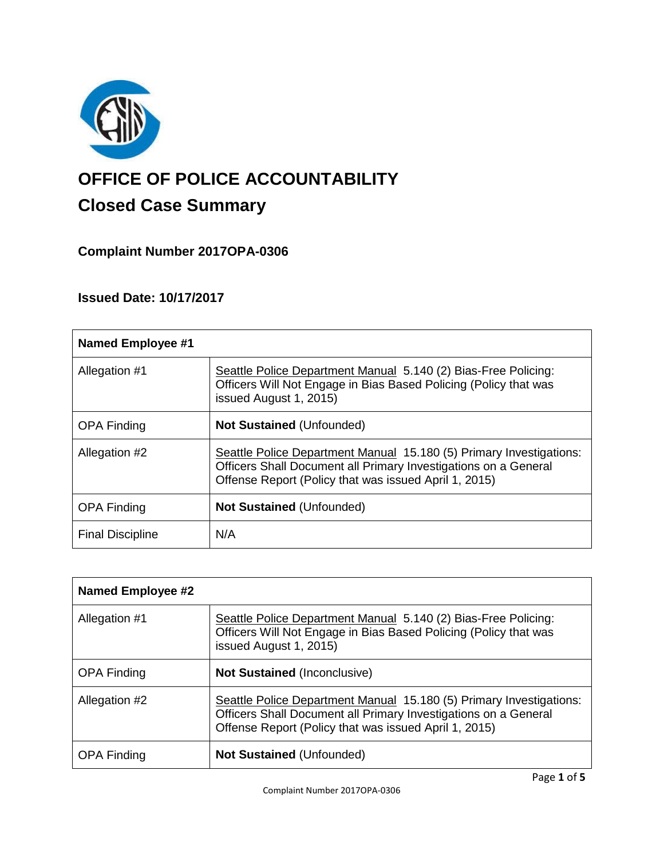

# **OFFICE OF POLICE ACCOUNTABILITY**

# **Closed Case Summary**

# **Complaint Number 2017OPA-0306**

# **Issued Date: 10/17/2017**

| <b>Named Employee #1</b> |                                                                                                                                                                                                 |
|--------------------------|-------------------------------------------------------------------------------------------------------------------------------------------------------------------------------------------------|
| Allegation #1            | Seattle Police Department Manual 5.140 (2) Bias-Free Policing:<br>Officers Will Not Engage in Bias Based Policing (Policy that was<br>issued August 1, 2015)                                    |
| <b>OPA Finding</b>       | <b>Not Sustained (Unfounded)</b>                                                                                                                                                                |
| Allegation #2            | Seattle Police Department Manual 15.180 (5) Primary Investigations:<br>Officers Shall Document all Primary Investigations on a General<br>Offense Report (Policy that was issued April 1, 2015) |
| <b>OPA Finding</b>       | <b>Not Sustained (Unfounded)</b>                                                                                                                                                                |
| <b>Final Discipline</b>  | N/A                                                                                                                                                                                             |

| <b>Named Employee #2</b> |                                                                                                                                                                                                 |
|--------------------------|-------------------------------------------------------------------------------------------------------------------------------------------------------------------------------------------------|
| Allegation #1            | Seattle Police Department Manual 5.140 (2) Bias-Free Policing:<br>Officers Will Not Engage in Bias Based Policing (Policy that was<br>issued August 1, 2015)                                    |
| <b>OPA Finding</b>       | <b>Not Sustained (Inconclusive)</b>                                                                                                                                                             |
| Allegation #2            | Seattle Police Department Manual 15.180 (5) Primary Investigations:<br>Officers Shall Document all Primary Investigations on a General<br>Offense Report (Policy that was issued April 1, 2015) |
| <b>OPA Finding</b>       | <b>Not Sustained (Unfounded)</b>                                                                                                                                                                |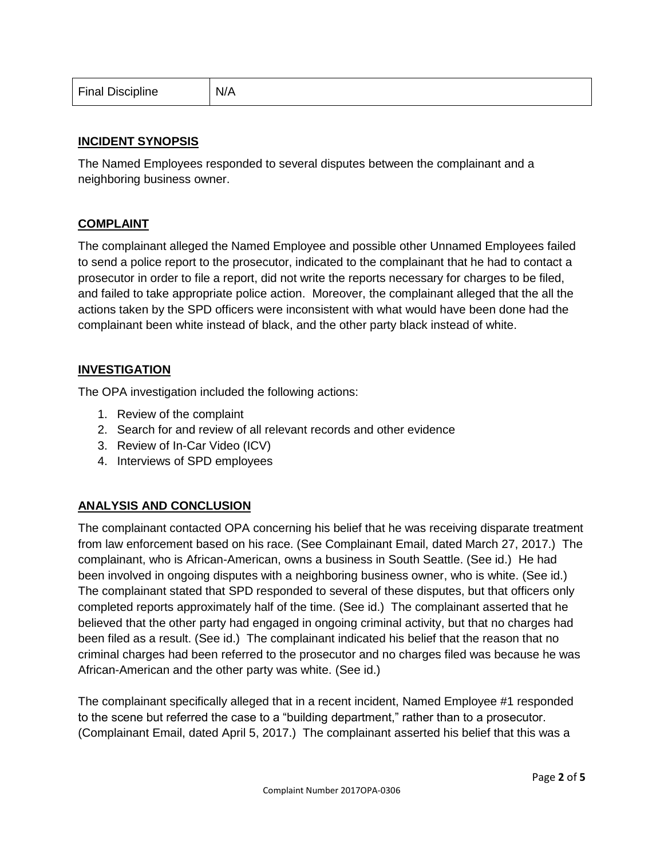| <b>Final Discipline</b> | N/A |
|-------------------------|-----|
|-------------------------|-----|

### **INCIDENT SYNOPSIS**

The Named Employees responded to several disputes between the complainant and a neighboring business owner.

#### **COMPLAINT**

The complainant alleged the Named Employee and possible other Unnamed Employees failed to send a police report to the prosecutor, indicated to the complainant that he had to contact a prosecutor in order to file a report, did not write the reports necessary for charges to be filed, and failed to take appropriate police action. Moreover, the complainant alleged that the all the actions taken by the SPD officers were inconsistent with what would have been done had the complainant been white instead of black, and the other party black instead of white.

#### **INVESTIGATION**

The OPA investigation included the following actions:

- 1. Review of the complaint
- 2. Search for and review of all relevant records and other evidence
- 3. Review of In-Car Video (ICV)
- 4. Interviews of SPD employees

# **ANALYSIS AND CONCLUSION**

The complainant contacted OPA concerning his belief that he was receiving disparate treatment from law enforcement based on his race. (See Complainant Email, dated March 27, 2017.) The complainant, who is African-American, owns a business in South Seattle. (See id.) He had been involved in ongoing disputes with a neighboring business owner, who is white. (See id.) The complainant stated that SPD responded to several of these disputes, but that officers only completed reports approximately half of the time. (See id.) The complainant asserted that he believed that the other party had engaged in ongoing criminal activity, but that no charges had been filed as a result. (See id.) The complainant indicated his belief that the reason that no criminal charges had been referred to the prosecutor and no charges filed was because he was African-American and the other party was white. (See id.)

The complainant specifically alleged that in a recent incident, Named Employee #1 responded to the scene but referred the case to a "building department," rather than to a prosecutor. (Complainant Email, dated April 5, 2017.) The complainant asserted his belief that this was a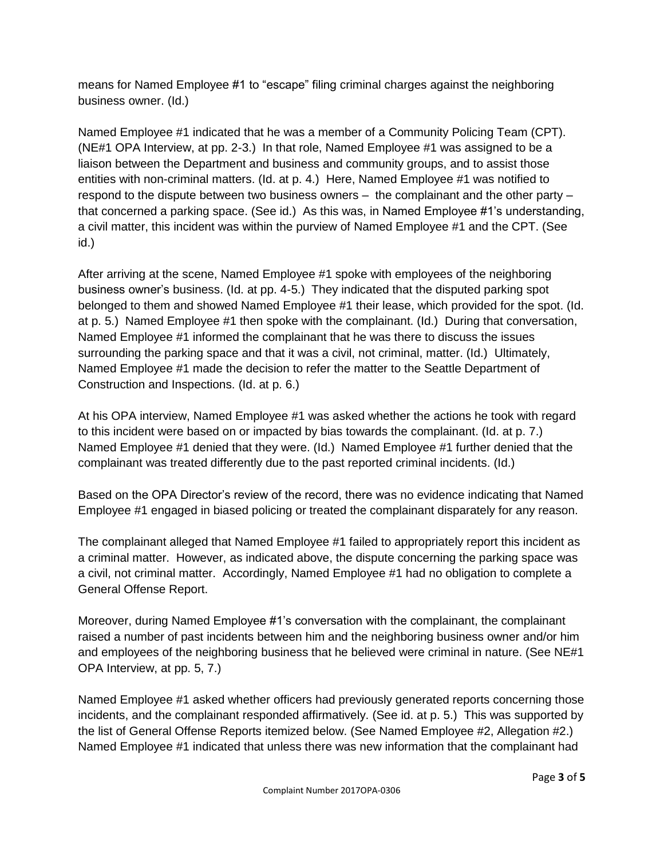means for Named Employee #1 to "escape" filing criminal charges against the neighboring business owner. (Id.)

Named Employee #1 indicated that he was a member of a Community Policing Team (CPT). (NE#1 OPA Interview, at pp. 2-3.) In that role, Named Employee #1 was assigned to be a liaison between the Department and business and community groups, and to assist those entities with non-criminal matters. (Id. at p. 4.) Here, Named Employee #1 was notified to respond to the dispute between two business owners – the complainant and the other party – that concerned a parking space. (See id.) As this was, in Named Employee #1's understanding, a civil matter, this incident was within the purview of Named Employee #1 and the CPT. (See id.)

After arriving at the scene, Named Employee #1 spoke with employees of the neighboring business owner's business. (Id. at pp. 4-5.) They indicated that the disputed parking spot belonged to them and showed Named Employee #1 their lease, which provided for the spot. (Id. at p. 5.) Named Employee #1 then spoke with the complainant. (Id.) During that conversation, Named Employee #1 informed the complainant that he was there to discuss the issues surrounding the parking space and that it was a civil, not criminal, matter. (Id.) Ultimately, Named Employee #1 made the decision to refer the matter to the Seattle Department of Construction and Inspections. (Id. at p. 6.)

At his OPA interview, Named Employee #1 was asked whether the actions he took with regard to this incident were based on or impacted by bias towards the complainant. (Id. at p. 7.) Named Employee #1 denied that they were. (Id.) Named Employee #1 further denied that the complainant was treated differently due to the past reported criminal incidents. (Id.)

Based on the OPA Director's review of the record, there was no evidence indicating that Named Employee #1 engaged in biased policing or treated the complainant disparately for any reason.

The complainant alleged that Named Employee #1 failed to appropriately report this incident as a criminal matter. However, as indicated above, the dispute concerning the parking space was a civil, not criminal matter. Accordingly, Named Employee #1 had no obligation to complete a General Offense Report.

Moreover, during Named Employee #1's conversation with the complainant, the complainant raised a number of past incidents between him and the neighboring business owner and/or him and employees of the neighboring business that he believed were criminal in nature. (See NE#1 OPA Interview, at pp. 5, 7.)

Named Employee #1 asked whether officers had previously generated reports concerning those incidents, and the complainant responded affirmatively. (See id. at p. 5.) This was supported by the list of General Offense Reports itemized below. (See Named Employee #2, Allegation #2.) Named Employee #1 indicated that unless there was new information that the complainant had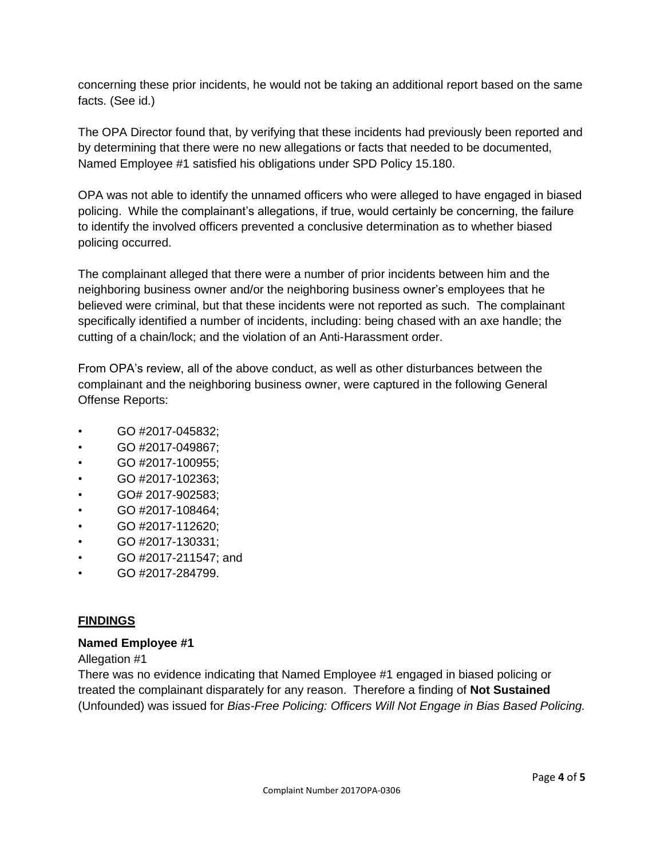concerning these prior incidents, he would not be taking an additional report based on the same facts. (See id.)

The OPA Director found that, by verifying that these incidents had previously been reported and by determining that there were no new allegations or facts that needed to be documented, Named Employee #1 satisfied his obligations under SPD Policy 15.180.

OPA was not able to identify the unnamed officers who were alleged to have engaged in biased policing. While the complainant's allegations, if true, would certainly be concerning, the failure to identify the involved officers prevented a conclusive determination as to whether biased policing occurred.

The complainant alleged that there were a number of prior incidents between him and the neighboring business owner and/or the neighboring business owner's employees that he believed were criminal, but that these incidents were not reported as such. The complainant specifically identified a number of incidents, including: being chased with an axe handle; the cutting of a chain/lock; and the violation of an Anti-Harassment order.

From OPA's review, all of the above conduct, as well as other disturbances between the complainant and the neighboring business owner, were captured in the following General Offense Reports:

- GO #2017-045832;
- GO #2017-049867;
- GO #2017-100955;
- GO #2017-102363;
- GO# 2017-902583;
- GO #2017-108464;
- GO #2017-112620;
- GO #2017-130331;
- GO #2017-211547; and
- GO #2017-284799.

# **FINDINGS**

# **Named Employee #1**

# Allegation #1

There was no evidence indicating that Named Employee #1 engaged in biased policing or treated the complainant disparately for any reason. Therefore a finding of **Not Sustained** (Unfounded) was issued for *Bias-Free Policing: Officers Will Not Engage in Bias Based Policing.*